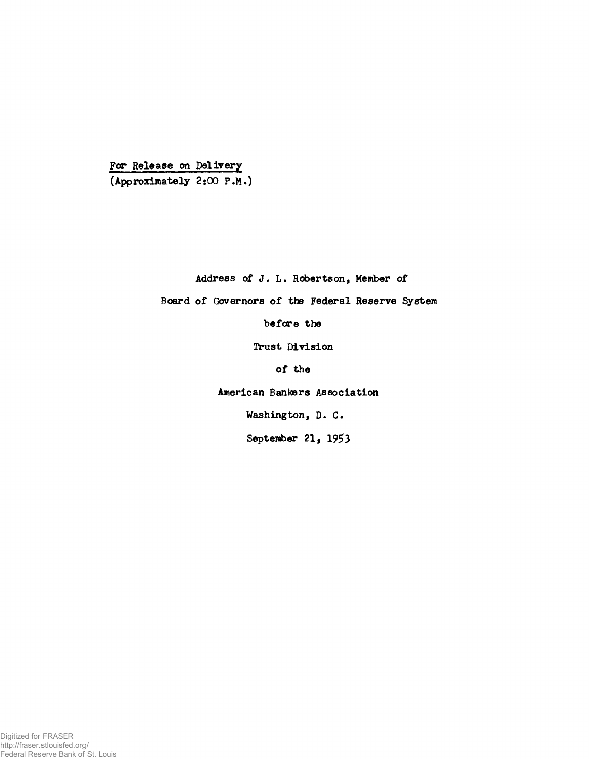For Release on Delivery (Approximately 2:00 P.M.)

Address of J. L. Robertson, Member of

Board of Governors of the Federal Reserve System

before the

Trust Division

of the

American Bankers Association

Washington, D. C.

**September 21, 1953**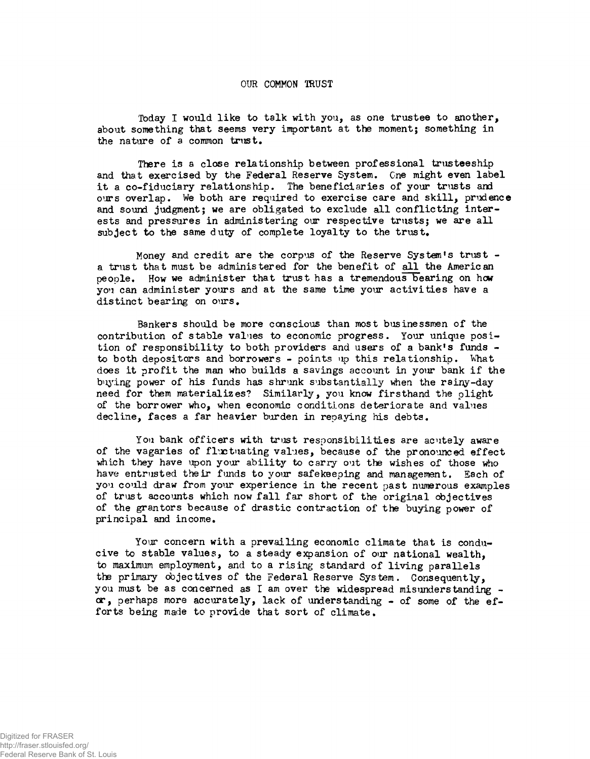## OUR COMMON TRUST

Today I would like to talk with you, as one trustee to another, about something that seems very important at the moment; something in the nature of a common trust.

There is a close relationship between professional trusteeship and that exercised by the Federal Reserve System. One might even label it a co-fiduciary relationship. The beneficiaries of your trusts and ours overlap. We both are required to exercise care and skill, prudence and sound judgment; we are obligated to exclude all conflicting interests and pressures in administering our respective trusts; we are all subject to the same duty of complete loyalty to the trust.

Money and credit are the corpus of the Reserve Systan's trust a trust that must be administered for the benefit of all the American people. How we administer that trust has a tremendous bearing on how you can administer yours and at the same time your activities have a distinct bearing on ours.

Bankers should be more conscious than most businessmen of the contribution of stable values to economic progress. Your unique position of responsibility to both providers and users of a bank's funds to both depositors and borrowers - points up this relationship. What does it profit the man who builds a savings account in your bank if the buying power of his funds has shrunk substantially when the rainy-day need for them materializes? Similarly, you know firsthand the plight of the borrower who, when economic conditions deteriorate and values decline, faces a far heavier burden in repaying his debts.

You bank officers with trust responsibilities are acutely aware of the vagaries of fluctuating values, because of the pronounced effect which they have upon your ability to carry out the wishes of those who have entrusted their funds to your safekeeping and management. Each of you could draw from your experience in the recent past numerous examples of trust accounts which now fall far short of the original objectives of the grantors because of drastic contraction of the buying power of principal and income.

Your concern with a prevailing economic climate that is conducive to stable values, to a steady expansion of our national wealth, to maximum employment, and to a rising standard of living parallels the primary objectives of the Federal Reserve System. Consequently, you must be as concerned as I am over the widespread misunderstanding -  $\alpha$ , perhaps more accurately, lack of understanding - of some of the efforts being made to provide that sort of climate.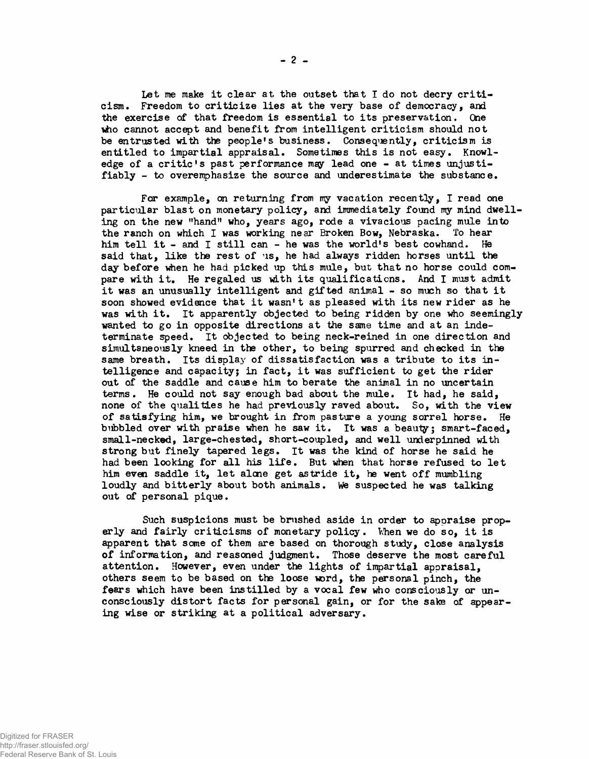Let me make it clear at the outset that I do not decry criticism. Freedom to criticize lies at the very base of democracy, and the exercise of that freedom is essential to its preservation. One who cannot accept and benefit from intelligent criticism should not be entrusted with the people's business. Consequently, criticism is entitled to impartial appraisal. Sometimes this is not easy. Knowledge of a critic's past performance may lead one - at times unjustifiably - to overemphasize the source and underestimate the substance.

Far example, on returning from ny vacation recently, I read one particular blast on monetary policy, and immediately found my mind dwelling on the new "hand" who, years ago, rode a vivacious pacing mule into the ranch on which I was working near Broken Bow, Nebraska. To hear him tell it - and I still can - he was the world's best cowhand. He said that, like the rest of us, he had always ridden horses until the day before when he had picked up this mule, but that no horse could compare with it. He regaled us with its qualifications. And I must admit it was an unusually intelligent and gifted animal - so much so that it soon showed evidence that it wasn't as pleased with its new rider as he was with it. It apparently objected to being ridden by one who seemingly wanted to go in opposite directions at the same time and at an indeterminate speed. It objected to being neck-reined in one direction and simultaneously kneed in the other, to being spurred and checked in the same breath. Its display of dissatisfaction was a tribute to its intelligence and capacity; in fact, it was sufficient to get the rider out of the saddle and cause him to berate the animal in no uncertain terms. He could not say enough bad about the mule. It had, he said, none of the qualities he had previously raved about. So, with the view of satisfying him, we brought in from pasture a young sorrel horse. He bubbled over with praise when he saw it. It was a beauty; smart-faced, small-necked, large-chested, short-coupled, and well underpinned with strong but finely tapered legs. It was the kind of horse he said he had been looking for all his life. But when that horse refused to let him even saddle it, let alcne get astride it, he went off mumbling loudly and bitterly about both animals. We suspected he was talking out of personal pique.

Such suspicions must be brushed aside in order to appraise properly and fairly criticisms of monetary policy. When we do so, it is apparent that some of them are based on thorough study, close analysis of information, and reasoned judgment. Those deserve the most careful attention. However, even under the lights of impartial appraisal, others seem to be based on the loose word, the personal pinch, the fears which have been instilled by a vocal few who consciously or unconsciously distort facts for personal gain, or for the sate of appearing wise or striking at a political adversary.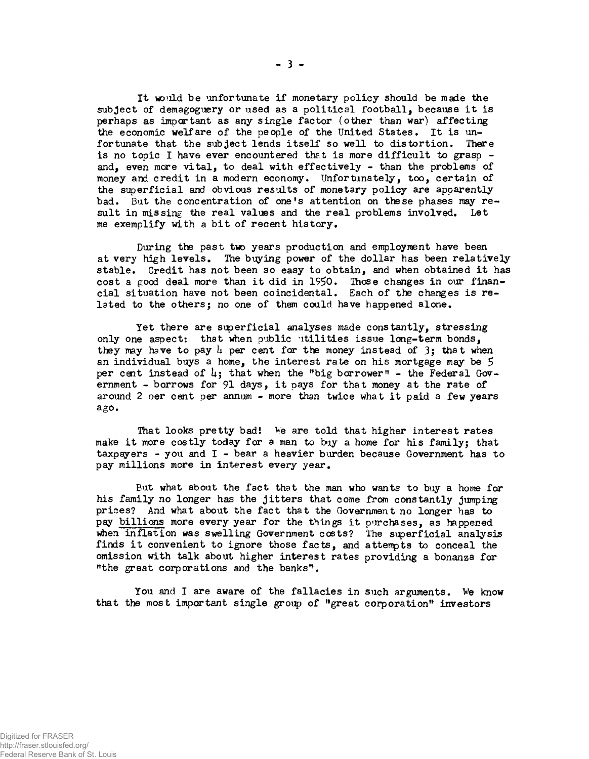It wo'lid be unfortunate if monetary policy should be made the subject of demagoguery or used as a political football, because it is perhaps as important as any single factor (other than war) affecting the economic welfare of the people of the United States. It is unfortunate that the subject lends itself so well to distortion. There is no topic I have ever encountered that is more difficult to grasp and, even more vital, to deal with effectively - than the problems of money and credit in a modern economy. Unfortunately, too, certain of the superficial and obvious results of monetary policy are apparently bad. But the concentration of one's attention on these phases may result in missing the real values and the real problems involved. Let me exemplify with a bit of recent history.

During the past two years production and employment have been at very high levels. The buying power of the dollar has been relatively stable. Credit has not been so easy to obtain, and when obtained it has cost a good deal more than it did in 1950. Those changes in our financial situation have not been coincidental. Each of the changes is related to the others; no one of them could have happened alone.

Yet there are superficial analyses made constantly, stressing only one aspect: that when public utilities issue long-term bonds. they may have to pay  $\mu$  per cent for the money instead of 3; that when an individual buys a home, the interest rate on his mortgage may be 5 per cent instead of  $\mu$ ; that when the "big borrower" - the Federal Government - borrows for 91 days, it pays for that money at the rate of around 2 per cent per annum - more than twice what it paid a few years ago.

That looks pretty bad! We are told that higher interest rates make it more costly today for a man to biy a home for his family; that taxpayers - you and  $I$  - bear a heavier burden because Government has to pay millions more in interest every year.

But what about the fact that the man who wants to biy a home for his family no longer has the jitters that come from constantly jumping prices? And what about the fact that the Government no longer has to pay billions more every year for the things it purchases, as happened when inflation was swelling Government costs? The superficial analysis finds it convenient to ignore those facts, and attempts to conceal the omission with talk about higher interest rates providing a bonanza for "the great corporations and the banks".

You and I are aware of the fallacies in such arguments. We know that the most important single group of "great corporation" investors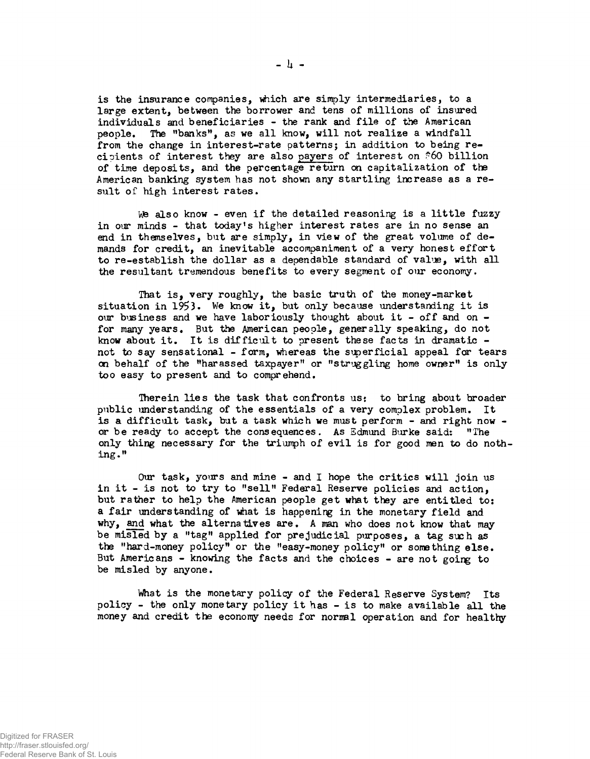is the insurance companies, which are simply intermediaries, to a large extent, between the borrower and tens of millions of insured individuals and beneficiaries - the rank and file of the American people. The "banks", as we all know, will not realize a windfall from the change in interest-rate patterns; in addition to being recipients of interest they are also payers of interest on \*60 billion of time deposits, and the percentage return on capitalization of the American banking system has not shown any startling increase as a result of high interest rates.

We also know - even if the detailed reasoning is a little fuzzy in our minds - that today's higher interest rates are in no sense an end in themselves, but are simply, in view of the great volume of demands for credit, an inevitable accompaniment of a very honest effort to re-establish the dollar as a dependable standard of value, with all the resultant tremendous benefits to every segment of our economy.

That is, very roughly, the basic truth of the money-market situation in 1953. We know it, but only because understanding it is our business and we have laboriously thought about it - off and on for many years. But the American people, generally speaking, do not know about it. It is difficult to present these facts in dramatic not to say sensational - form, whereas the superficial appeal far tears on behalf of the "harassed taxpayer" or "struggling home owner" is only too easy to present and to comprehend.

Therein lies the task that confronts us: to bring about broader public understanding of the essentials of a very complex problem. It is a difficult task, but a task which we must perform - and right now or be ready to accept the consequences. As Edmund Burke saidt "The only thing necessary for the triumph of evil is for good men to do nothing."

Our task, yours and mine - and I hope the critics will join us in it - is not to try to "sell" Federal Reserve policies and action, but rather to help the American people get what they are entitled to: a fair understanding of what is happening in the monetary field and why, and what the alternatives are. A man who does not know that may be misled by a "tag" applied for prejudicial purposes, a tag such as the "hard-money policy" or the "easy-money policy" or something else. But Americans - knowing the facts and the choices - are not going to be misled by anyone.

What is the monetary policy of the Federal Reserve System? Its policy - the only monetary policy it has - is to make available all the money and credit the economy needs for normal operation and for healthy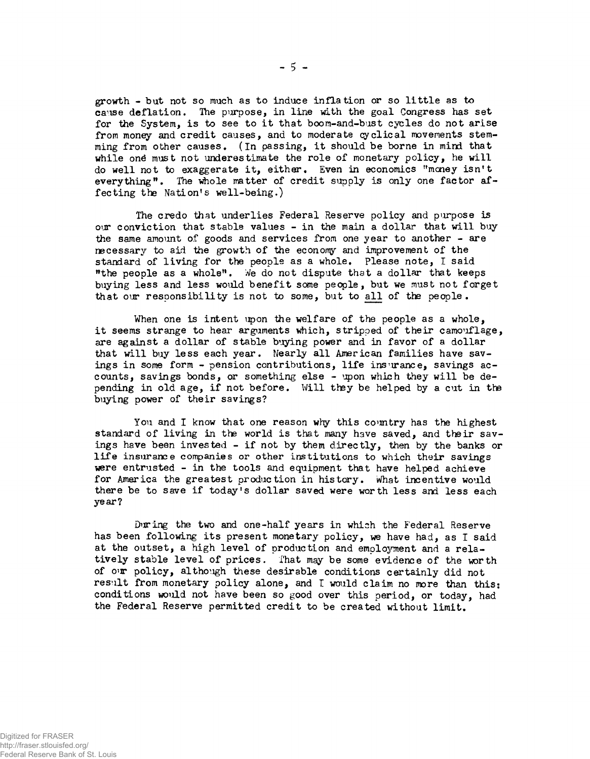growth - but not so much as to induce inflation or so little as to cause deflation. The purpose, in line with the goal Congress has set for the System, is to see to it that boom-and-bust cycles do not arise from money and credit causes, and to moderate cyclical movements stemming from other causes. (In passing, it should be borne in mind that while one must not underestimate the role of monetary policy, he will do well not to exaggerate it, either. Even in economics "money isn't everything". The whole matter of credit supply is only one factor affecting the Nation's well-being.)

The credo that underlies Federal Reserve policy and purpose is our conviction that stable values - in the main a dollar that will buy the same amount of goods and services from one year to another - are necessary to aid the growth of the econony and improvement of the standard of living for the people as a whole. Please note, I said "the people as a whole". We do not dispute that a dollar that keeps buying less and less would benefit some people, but we must not forget that our responsibility is not to some, but to all of the people.

When one is intent upon the welfare of the people as a whole, it seems strange to hear arguments which, stripped of their camouflage, are against a dollar of stable buying power and in favor of a dollar that will buy less each year. Nearly all American families have savings in some form - pension contributions, life insurance, savings accounts, savings bonds, or something else - upon which they will be depending in old age, if not before. Will they be helped by a cut in the buying power of their savings?

You and I know that one reason why this country has the highest standard of living in the world is that many have saved, and their savings have been invested - if not by them directly, then by the banks or life insurance companies or other institutions to which their savings were entrusted - in the tools and equipment that have helped achieve for America the greatest production in history. What incentive would there be to save if today's dollar saved were worth less and less each year?

During the two and one-half years in which the Federal Reserve has been following its present monetary policy, we have had, as I said at the outset, a high level of production and employment and a relatively stable level of prices. That may be some evidence of the worth of our policy, although these desirable conditions certainly did not result from monetary policy alone, and I would claim no more than this: conditions would not have been so good over this period, or today, had the Federal Reserve permitted credit to be created without limit.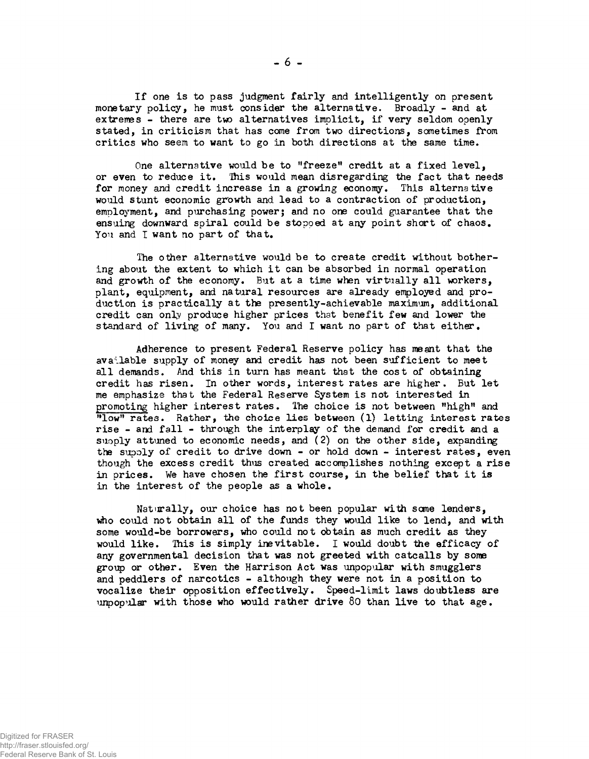If one is to pass judgment fairly and intelligently on present monetary policy, he must consider the alternative. Broadly - and at extremes - there are two alternatives implicit, if very seldom openly stated, in criticism that has come from two directions, sometimes from critics who seem to want to go in both directions at the same time.

One alternative would be to "freeze" credit at a fixed level, or even to reduce it. 'Ihis would mean disregarding the fact that needs for money and credit increase in a growing economy. This alternative would stunt economic growth and lead to a contraction of production, employment, and purchasing power; and no one could guarantee that the ensuing downward spiral could be stopped at any point short of chaos. You and I want no part of that.

The other alternative would be to create credit without bothering about the extent to which it can be absorbed in normal operation and growth of the economy. But at a time when virtually all workers, plant, equipment, and natural resources are already employed and production is practically at the presently-achievable maximum, additional credit can only produce higher prices that benefit few and lower the standard of living of many. You and I want no part of that either.

Adherence to present Federal Reserve policy has meant that the available supply of money and credit has not been sufficient to meet all demands. And this in turn has meant that the cost of obtaining credit has risen. In other words, interest rates are higher. But let me emphasize that the Federal Reserve System is not interested in promoting higher interest rates. The choice is not between "high" and "low" rates. Rather, the choice lies between (1) letting interest rates rise - and fall - through the interplay of the demand for credit and a suoply attuned to economic needs, and (2) on the other side, expanding the supoly of credit to drive down - or hold down - interest rates, even though the excess credit thus created accomplishes nothing except a rise in prices. We have chosen the first course, in the belief that it is in the interest of the people as a whole.

Naturally, our choice has not been popular with sane lenders, who could not obtain all of the funds they would like to lend, and with some would-be borrowers, who could not obtain as much credit as they would like. This is simply inevitable. I would doubt the efficacy of any governmental decision that was not greeted with catcalls by some group or other. Even the Harrison Act was unpopular with smugglers and peddlers of narcotics - although they were not in a position to vocalize their opposition effectively. Speed-limit laws doubtless are unpopular with those who would rather drive 80 than live to that age.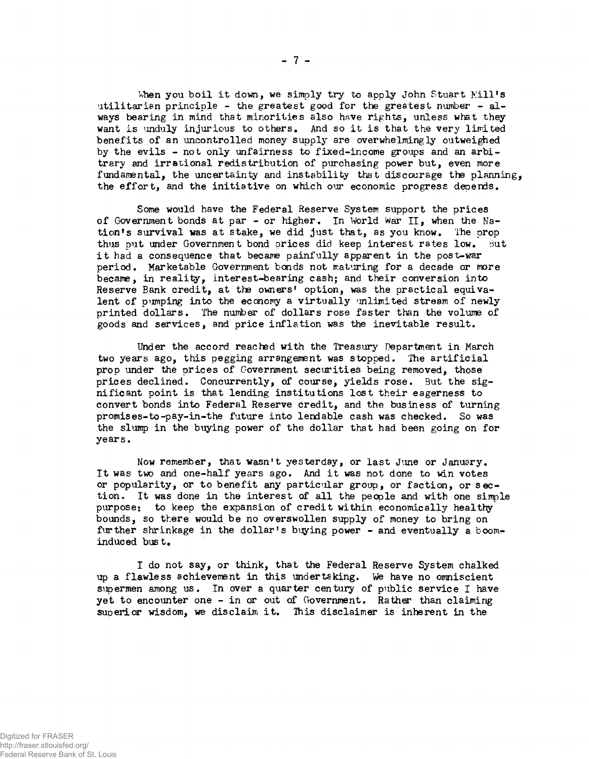When you boil it down, we simply try to apply John Stuart Mill's utilitarian principle - the greatest good for the greatest number - always bearing in mind that minorities also have rights, unless what they want is unduly injurious to others. And so it is that the very limited benefits of an uncontrolled money supply are overwhelmingly outweighed by the evils - not only unfairness to fixed-income groups and an arbitrary and irrational redistribution of purchasing power but, even more fundamental, the uncertainty and instability that discourage the planning, the effort, and the initiative on which our economic progress depends.

Some would have the Federal Reserve System support the prices of Government bonds at par - or higher. In World War II, when the Nation's survival was at stake, we did just that, as you know. The prop thus put under Government bond prices did keep interest rates low. But it had a consequence that became painfully apparent in the post-war period. Marketable Government bonds not maturing for a decade or more became, in reality, interest-bearing cash; and their conversion into Reserve Bank credit, at the owners' option, was the practical equivalent of pumping into the economy a virtually unlimited stream of newly printed dollars. The number of dollars rose faster than the volume of goods and services, and price inflation was the inevitable result.

Under the accord reached with the Treasury Department in March two years ago, this pegging arrangement was stopped. The artificial prop under the prices of Government securities being removed, those prices declined. Concurrently, of course, yields rose. But the significant point is that lending institutions lost their eagerness to convert bonds into Federal Reserve credit, and the business of turning promises-to-pay-in-the future into lendable cash was checked. So was the slump in the buying power of the dollar that had been going on for years.

Now remember, that wasn't yesterday, or last June or January. It was two and one-half years ago. And it was not done to win votes or popularity, or to benefit any particular group, or faction, or section. It was done in the interest of all the people and with one simple purpose: to keep the expansion of credit within economically healthy bounds, so there would be no overswollen supply of money to bring on further shrinkage in the dollar's buying power - and eventually a boominduced bust.

I do not say, or think, that the Federal Reserve System chalked up a flawless achievement in this undertaking. We have no omniscient supermen among us. In over a quarter century of public service I have yet to encounter one - in or out of Government. Rather than claiming superior wisdom, we disclaim it. Ihis disclaimer is inherent in the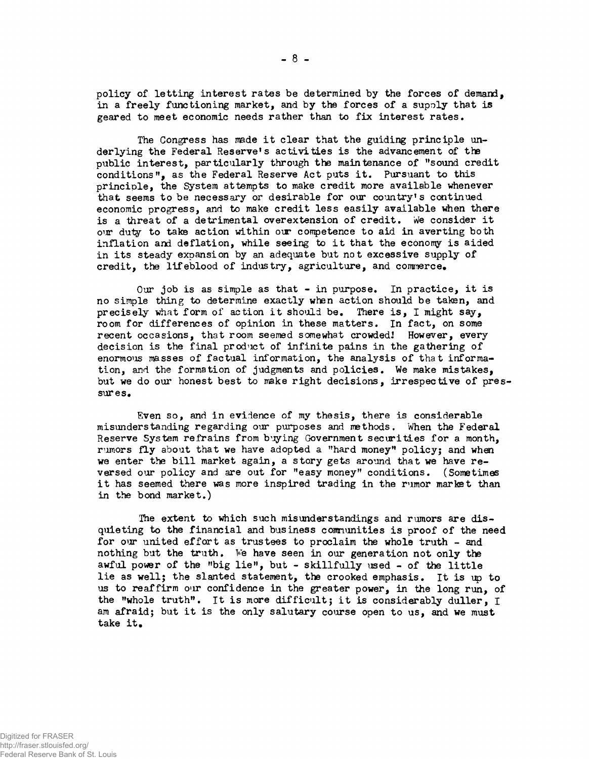policy of letting interest rates be determined by the forces of demand, in a freely functioning market, and by the forces of a supoly that is geared to meet economic needs rather than to fix interest rates.

The Congress has made it clear that the guiding principle underlying the Federal Reserve's activities is the advancement of the public interest, particularly through the maintenance of "sound credit conditions", as the Federal Reserve Act puts it. Pursuant to this principle, the System attempts to make credit more available whenever that seems to be necessary or desirable for our country's continued economic progress, and to make credit less easily available when there is a threat of a detrimental overextension of credit. We consider it our duty to tate action within our competence to aid in averting both inflation and deflation, while seeing to it that the economy is aided in its steady expansion by an adequate but not excessive supply of credit, the lifeblood of industry, agriculture, and commerce.

Our job is as simple as that - in purpose. In practice, it is no simple thing to determine exactly when action should be taken, and precisely what form of action it should be. There is, I might say, room for differences of opinion in these matters. In fact, on some recent occasions, that room seemed somewhat crowded! However, every decision is the final prod'ict of infinite pains in the gathering of enormous masses of factual information, the analysis of that information, and the formation of judgments and policies. We make mistakes, but we do our honest best to make right decisions, irrespective of pressures.

Even so, and in evidence of my thesis, there is considerable misunderstanding regarding our purposes and methods. When the Federal Reserve System refrains from buying Government securities for a month, rumors fly about that we have adopted a "hard money" policy; and when we enter the bill market again, a story gets around that we have reversed our policy and are out for "easy money" conditions. (Sometimes it has seemed there was more inspired trading in the rumor market than in the bond market.)

The extent to which such misunderstandings and rumors are disquieting to the financial and business communities is proof of the need for our united effort as trustees to proclaim the whole truth - and nothing but the truth. We have seen in our generation not only the awful power of the "big lie", but - skillfully used - of the little lie as well; the slanted statement, the crooked emphasis. It is up to us to reaffirm our confidence in the greater power, in the long run, of the "whole truth". It is more difficult; it is considerably duller, I am afraid; but it is the only salutary course open to us, and we must take it.